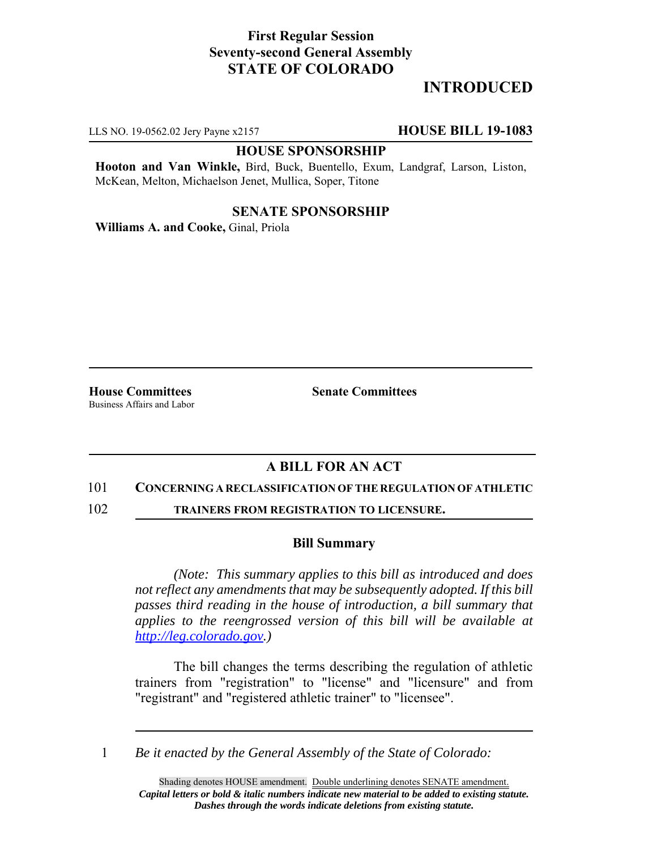## **First Regular Session Seventy-second General Assembly STATE OF COLORADO**

# **INTRODUCED**

LLS NO. 19-0562.02 Jery Payne x2157 **HOUSE BILL 19-1083**

### **HOUSE SPONSORSHIP**

**Hooton and Van Winkle,** Bird, Buck, Buentello, Exum, Landgraf, Larson, Liston, McKean, Melton, Michaelson Jenet, Mullica, Soper, Titone

### **SENATE SPONSORSHIP**

**Williams A. and Cooke,** Ginal, Priola

Business Affairs and Labor

**House Committees Senate Committees** 

## **A BILL FOR AN ACT**

### 101 **CONCERNING A RECLASSIFICATION OF THE REGULATION OF ATHLETIC**

102 **TRAINERS FROM REGISTRATION TO LICENSURE.**

#### **Bill Summary**

*(Note: This summary applies to this bill as introduced and does not reflect any amendments that may be subsequently adopted. If this bill passes third reading in the house of introduction, a bill summary that applies to the reengrossed version of this bill will be available at http://leg.colorado.gov.)*

The bill changes the terms describing the regulation of athletic trainers from "registration" to "license" and "licensure" and from "registrant" and "registered athletic trainer" to "licensee".

1 *Be it enacted by the General Assembly of the State of Colorado:*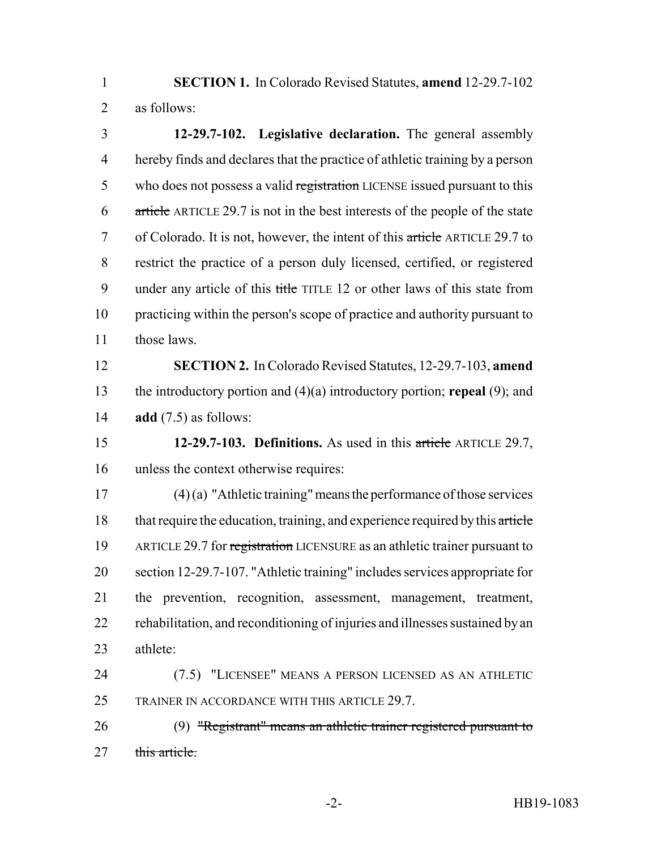**SECTION 1.** In Colorado Revised Statutes, **amend** 12-29.7-102 as follows:

 **12-29.7-102. Legislative declaration.** The general assembly hereby finds and declares that the practice of athletic training by a person 5 who does not possess a valid registration LICENSE issued pursuant to this article ARTICLE 29.7 is not in the best interests of the people of the state of Colorado. It is not, however, the intent of this article ARTICLE 29.7 to restrict the practice of a person duly licensed, certified, or registered 9 under any article of this title TITLE 12 or other laws of this state from practicing within the person's scope of practice and authority pursuant to those laws.

 **SECTION 2.** In Colorado Revised Statutes, 12-29.7-103, **amend** the introductory portion and (4)(a) introductory portion; **repeal** (9); and **add** (7.5) as follows:

 **12-29.7-103. Definitions.** As used in this article ARTICLE 29.7, unless the context otherwise requires:

 (4) (a) "Athletic training" means the performance of those services 18 that require the education, training, and experience required by this article ARTICLE 29.7 for registration LICENSURE as an athletic trainer pursuant to section 12-29.7-107. "Athletic training" includes services appropriate for the prevention, recognition, assessment, management, treatment, rehabilitation, and reconditioning of injuries and illnesses sustained by an athlete:

 (7.5) "LICENSEE" MEANS A PERSON LICENSED AS AN ATHLETIC TRAINER IN ACCORDANCE WITH THIS ARTICLE 29.7.

 (9) "Registrant" means an athletic trainer registered pursuant to 27 this article.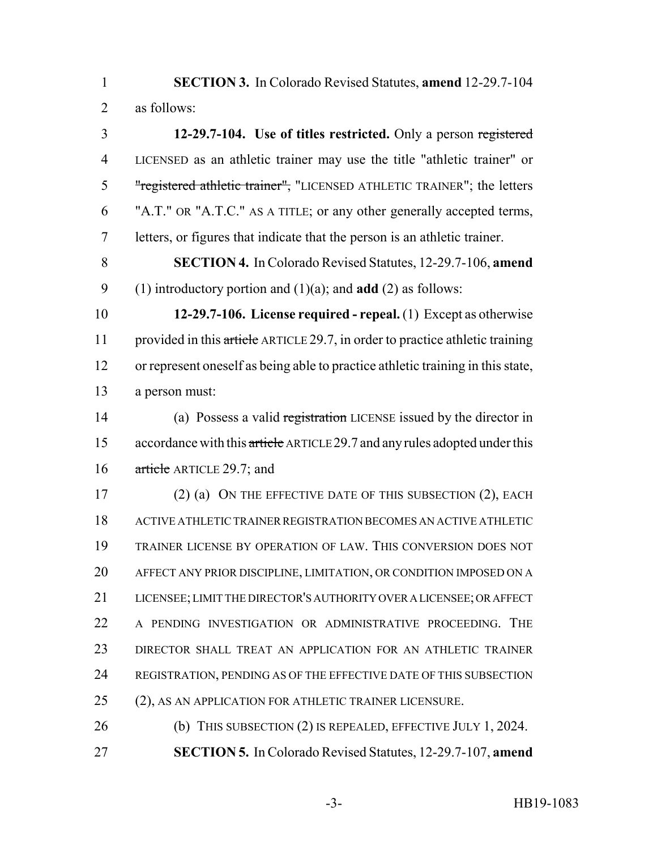**SECTION 3.** In Colorado Revised Statutes, **amend** 12-29.7-104 as follows:

 **12-29.7-104. Use of titles restricted.** Only a person registered LICENSED as an athletic trainer may use the title "athletic trainer" or 5 "registered athletic trainer", "LICENSED ATHLETIC TRAINER"; the letters "A.T." OR "A.T.C." AS A TITLE; or any other generally accepted terms, letters, or figures that indicate that the person is an athletic trainer.

 **SECTION 4.** In Colorado Revised Statutes, 12-29.7-106, **amend** (1) introductory portion and (1)(a); and **add** (2) as follows:

 **12-29.7-106. License required - repeal.** (1) Except as otherwise 11 provided in this article ARTICLE 29.7, in order to practice athletic training or represent oneself as being able to practice athletic training in this state, a person must:

 (a) Possess a valid registration LICENSE issued by the director in 15 accordance with this article ARTICLE 29.7 and any rules adopted under this 16 article ARTICLE 29.7; and

17 (2) (a) ON THE EFFECTIVE DATE OF THIS SUBSECTION (2), EACH ACTIVE ATHLETIC TRAINER REGISTRATION BECOMES AN ACTIVE ATHLETIC TRAINER LICENSE BY OPERATION OF LAW. THIS CONVERSION DOES NOT AFFECT ANY PRIOR DISCIPLINE, LIMITATION, OR CONDITION IMPOSED ON A LICENSEE; LIMIT THE DIRECTOR'S AUTHORITY OVER A LICENSEE; OR AFFECT A PENDING INVESTIGATION OR ADMINISTRATIVE PROCEEDING. THE DIRECTOR SHALL TREAT AN APPLICATION FOR AN ATHLETIC TRAINER REGISTRATION, PENDING AS OF THE EFFECTIVE DATE OF THIS SUBSECTION (2), AS AN APPLICATION FOR ATHLETIC TRAINER LICENSURE.

26 (b) THIS SUBSECTION (2) IS REPEALED, EFFECTIVE JULY 1, 2024. **SECTION 5.** In Colorado Revised Statutes, 12-29.7-107, **amend**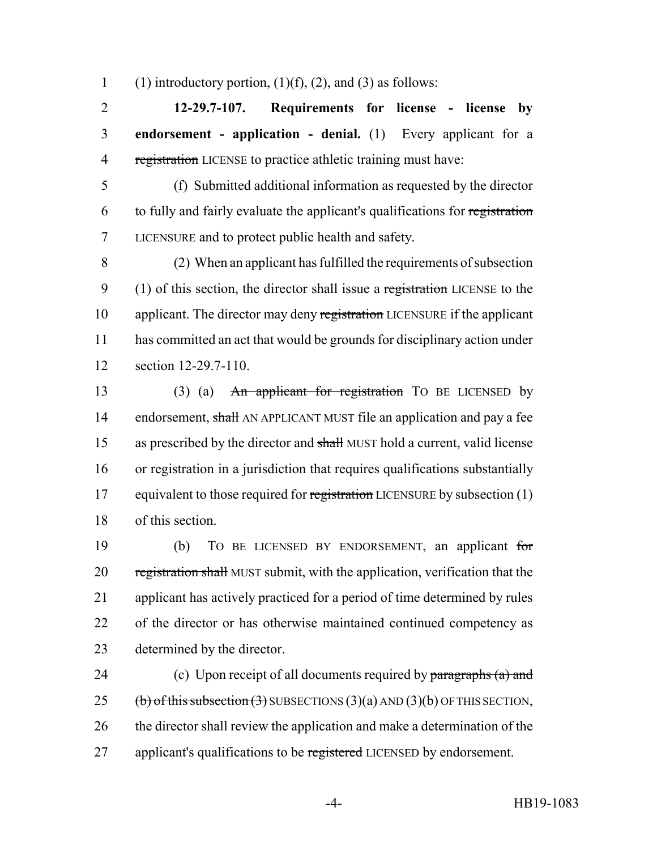1 (1) introductory portion,  $(1)(f)$ ,  $(2)$ , and  $(3)$  as follows:

2 **12-29.7-107. Requirements for license - license by** 3 **endorsement - application - denial.** (1) Every applicant for a 4 registration LICENSE to practice athletic training must have:

5 (f) Submitted additional information as requested by the director 6 to fully and fairly evaluate the applicant's qualifications for registration 7 LICENSURE and to protect public health and safety.

8 (2) When an applicant has fulfilled the requirements of subsection 9 (1) of this section, the director shall issue a registration LICENSE to the 10 applicant. The director may deny registration LICENSURE if the applicant 11 has committed an act that would be grounds for disciplinary action under 12 section 12-29.7-110.

13 (3) (a) An applicant for registration TO BE LICENSED by 14 endorsement, shall AN APPLICANT MUST file an application and pay a fee 15 as prescribed by the director and shall MUST hold a current, valid license 16 or registration in a jurisdiction that requires qualifications substantially 17 equivalent to those required for registration LICENSURE by subsection (1) 18 of this section.

 (b) TO BE LICENSED BY ENDORSEMENT, an applicant for 20 registration shall MUST submit, with the application, verification that the applicant has actively practiced for a period of time determined by rules of the director or has otherwise maintained continued competency as determined by the director.

24 (c) Upon receipt of all documents required by paragraphs (a) and 25 (b) of this subsection  $(3)$  SUBSECTIONS  $(3)(a)$  AND  $(3)(b)$  OF THIS SECTION, 26 the director shall review the application and make a determination of the 27 applicant's qualifications to be registered LICENSED by endorsement.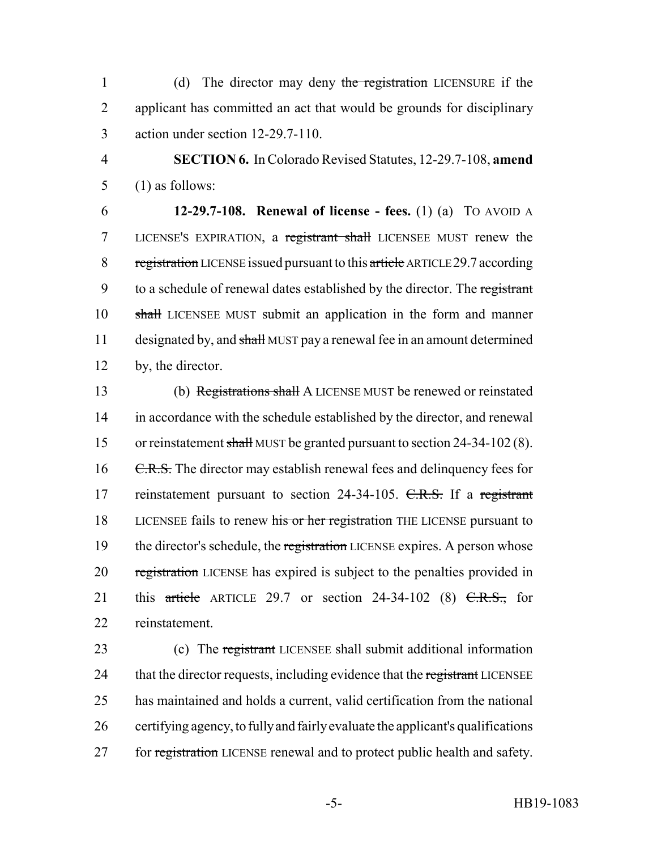1 (d) The director may deny the registration LICENSURE if the 2 applicant has committed an act that would be grounds for disciplinary 3 action under section 12-29.7-110.

4 **SECTION 6.** In Colorado Revised Statutes, 12-29.7-108, **amend** 5 (1) as follows:

6 **12-29.7-108. Renewal of license - fees.** (1) (a) TO AVOID A 7 LICENSE'S EXPIRATION, a registrant shall LICENSEE MUST renew the 8 registration LICENSE issued pursuant to this article ARTICLE 29.7 according 9 to a schedule of renewal dates established by the director. The registrant 10 shall LICENSEE MUST submit an application in the form and manner 11 designated by, and shall MUST pay a renewal fee in an amount determined 12 by, the director.

13 (b) Registrations shall A LICENSE MUST be renewed or reinstated 14 in accordance with the schedule established by the director, and renewal 15 or reinstatement shall MUST be granted pursuant to section 24-34-102 (8). 16 C.R.S. The director may establish renewal fees and delinquency fees for 17 reinstatement pursuant to section 24-34-105. C.R.S. If a registrant 18 LICENSEE fails to renew his or her registration THE LICENSE pursuant to 19 the director's schedule, the registration LICENSE expires. A person whose 20 registration LICENSE has expired is subject to the penalties provided in 21 this article ARTICLE 29.7 or section 24-34-102 (8)  $C.R.S.,$  for 22 reinstatement.

23 (c) The registrant LICENSEE shall submit additional information 24 that the director requests, including evidence that the registrant LICENSEE 25 has maintained and holds a current, valid certification from the national 26 certifying agency, to fully and fairly evaluate the applicant's qualifications 27 for registration LICENSE renewal and to protect public health and safety.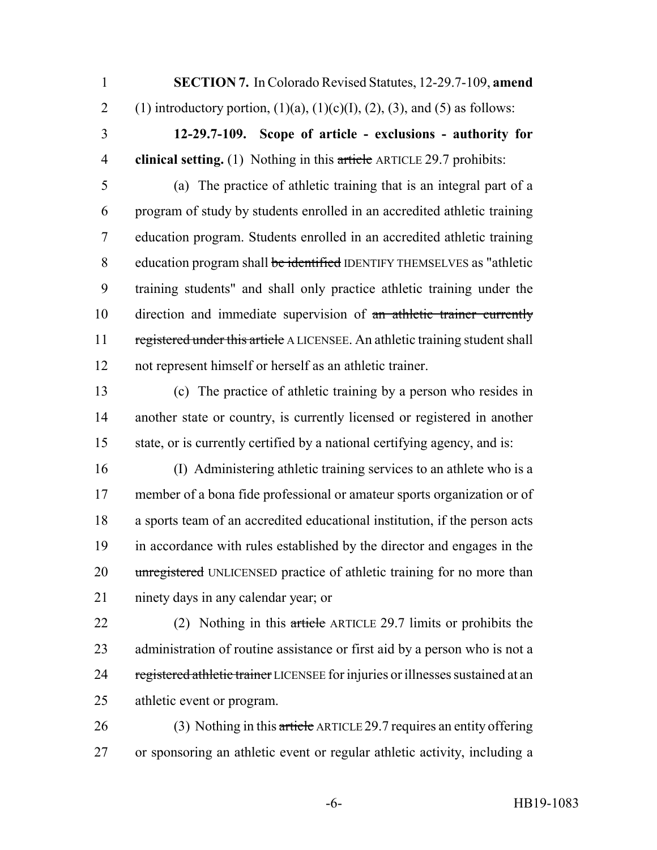**SECTION 7.** In Colorado Revised Statutes, 12-29.7-109, **amend**

2 (1) introductory portion,  $(1)(a)$ ,  $(1)(c)(I)$ ,  $(2)$ ,  $(3)$ , and  $(5)$  as follows:

 **12-29.7-109. Scope of article - exclusions - authority for clinical setting.** (1) Nothing in this article ARTICLE 29.7 prohibits:

 (a) The practice of athletic training that is an integral part of a program of study by students enrolled in an accredited athletic training education program. Students enrolled in an accredited athletic training 8 education program shall be identified IDENTIFY THEMSELVES as "athletic training students" and shall only practice athletic training under the 10 direction and immediate supervision of an athletic trainer currently 11 registered under this article A LICENSEE. An athletic training student shall not represent himself or herself as an athletic trainer.

 (c) The practice of athletic training by a person who resides in another state or country, is currently licensed or registered in another state, or is currently certified by a national certifying agency, and is:

 (I) Administering athletic training services to an athlete who is a member of a bona fide professional or amateur sports organization or of a sports team of an accredited educational institution, if the person acts in accordance with rules established by the director and engages in the 20 unregistered UNLICENSED practice of athletic training for no more than ninety days in any calendar year; or

22 (2) Nothing in this article ARTICLE 29.7 limits or prohibits the administration of routine assistance or first aid by a person who is not a 24 registered athletic trainer LICENSEE for injuries or illnesses sustained at an athletic event or program.

26 (3) Nothing in this article ARTICLE 29.7 requires an entity offering or sponsoring an athletic event or regular athletic activity, including a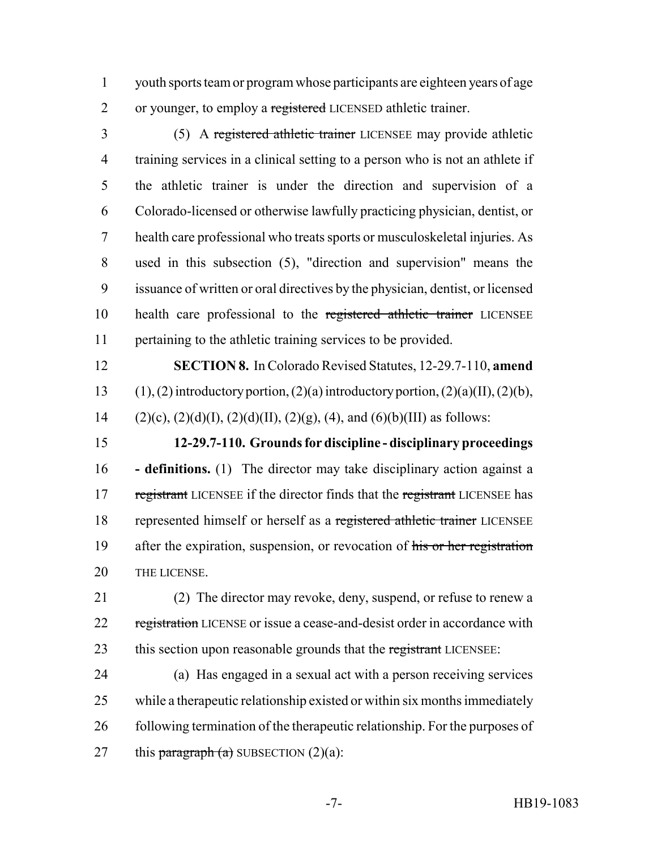youth sports team or program whose participants are eighteen years of age 2 or younger, to employ a registered LICENSED athletic trainer.

 (5) A registered athletic trainer LICENSEE may provide athletic training services in a clinical setting to a person who is not an athlete if the athletic trainer is under the direction and supervision of a Colorado-licensed or otherwise lawfully practicing physician, dentist, or health care professional who treats sports or musculoskeletal injuries. As used in this subsection (5), "direction and supervision" means the issuance of written or oral directives by the physician, dentist, or licensed 10 health care professional to the registered athletic trainer LICENSEE pertaining to the athletic training services to be provided.

 **SECTION 8.** In Colorado Revised Statutes, 12-29.7-110, **amend** 13 (1), (2) introductory portion, (2)(a) introductory portion, (2)(a)(II), (2)(b), 14 (2)(c), (2)(d)(I), (2)(d)(II), (2)(g), (4), and (6)(b)(III) as follows:

 **12-29.7-110. Grounds for discipline - disciplinary proceedings - definitions.** (1) The director may take disciplinary action against a 17 registrant LICENSEE if the director finds that the registrant LICENSEE has 18 represented himself or herself as a registered athletic trainer LICENSEE 19 after the expiration, suspension, or revocation of his or her registration THE LICENSE.

 (2) The director may revoke, deny, suspend, or refuse to renew a 22 registration LICENSE or issue a cease-and-desist order in accordance with 23 this section upon reasonable grounds that the registrant LICENSEE:

 (a) Has engaged in a sexual act with a person receiving services while a therapeutic relationship existed or within six months immediately following termination of the therapeutic relationship. For the purposes of 27 this paragraph  $(a)$  SUBSECTION  $(2)(a)$ :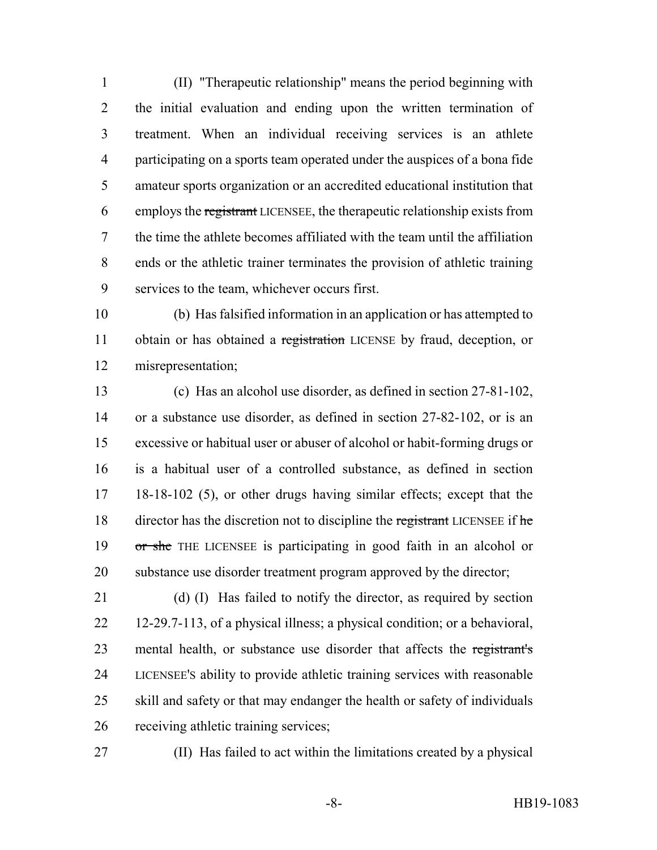(II) "Therapeutic relationship" means the period beginning with the initial evaluation and ending upon the written termination of treatment. When an individual receiving services is an athlete participating on a sports team operated under the auspices of a bona fide amateur sports organization or an accredited educational institution that employs the registrant LICENSEE, the therapeutic relationship exists from the time the athlete becomes affiliated with the team until the affiliation ends or the athletic trainer terminates the provision of athletic training services to the team, whichever occurs first.

 (b) Has falsified information in an application or has attempted to 11 obtain or has obtained a registration LICENSE by fraud, deception, or misrepresentation;

 (c) Has an alcohol use disorder, as defined in section 27-81-102, or a substance use disorder, as defined in section 27-82-102, or is an excessive or habitual user or abuser of alcohol or habit-forming drugs or is a habitual user of a controlled substance, as defined in section 18-18-102 (5), or other drugs having similar effects; except that the 18 director has the discretion not to discipline the registrant LICENSEE if he or she THE LICENSEE is participating in good faith in an alcohol or substance use disorder treatment program approved by the director;

 (d) (I) Has failed to notify the director, as required by section 12-29.7-113, of a physical illness; a physical condition; or a behavioral, 23 mental health, or substance use disorder that affects the registrant's LICENSEE'S ability to provide athletic training services with reasonable skill and safety or that may endanger the health or safety of individuals receiving athletic training services;

(II) Has failed to act within the limitations created by a physical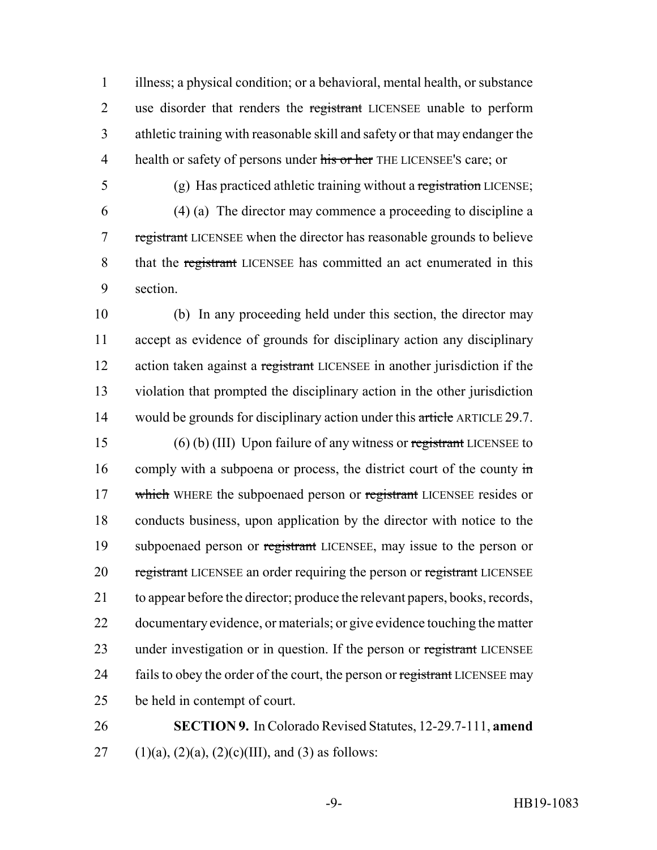1 illness; a physical condition; or a behavioral, mental health, or substance 2 use disorder that renders the registrant LICENSEE unable to perform 3 athletic training with reasonable skill and safety or that may endanger the 4 health or safety of persons under his or her THE LICENSEE'S care; or

5 (g) Has practiced athletic training without a registration LICENSE;

6 (4) (a) The director may commence a proceeding to discipline a 7 registrant LICENSEE when the director has reasonable grounds to believe 8 that the registrant LICENSEE has committed an act enumerated in this 9 section.

10 (b) In any proceeding held under this section, the director may 11 accept as evidence of grounds for disciplinary action any disciplinary 12 action taken against a registrant LICENSEE in another jurisdiction if the 13 violation that prompted the disciplinary action in the other jurisdiction 14 would be grounds for disciplinary action under this article ARTICLE 29.7.

15 (6) (b) (III) Upon failure of any witness or registrant LICENSEE to 16 comply with a subpoena or process, the district court of the county in 17 which WHERE the subpoenaed person or registrant LICENSEE resides or 18 conducts business, upon application by the director with notice to the 19 subpoenaed person or registrant LICENSEE, may issue to the person or 20 registrant LICENSEE an order requiring the person or registrant LICENSEE 21 to appear before the director; produce the relevant papers, books, records, 22 documentary evidence, or materials; or give evidence touching the matter 23 under investigation or in question. If the person or registrant LICENSEE 24 fails to obey the order of the court, the person or registrant LICENSEE may 25 be held in contempt of court.

26 **SECTION 9.** In Colorado Revised Statutes, 12-29.7-111, **amend** 27 (1)(a), (2)(a), (2)(c)(III), and (3) as follows: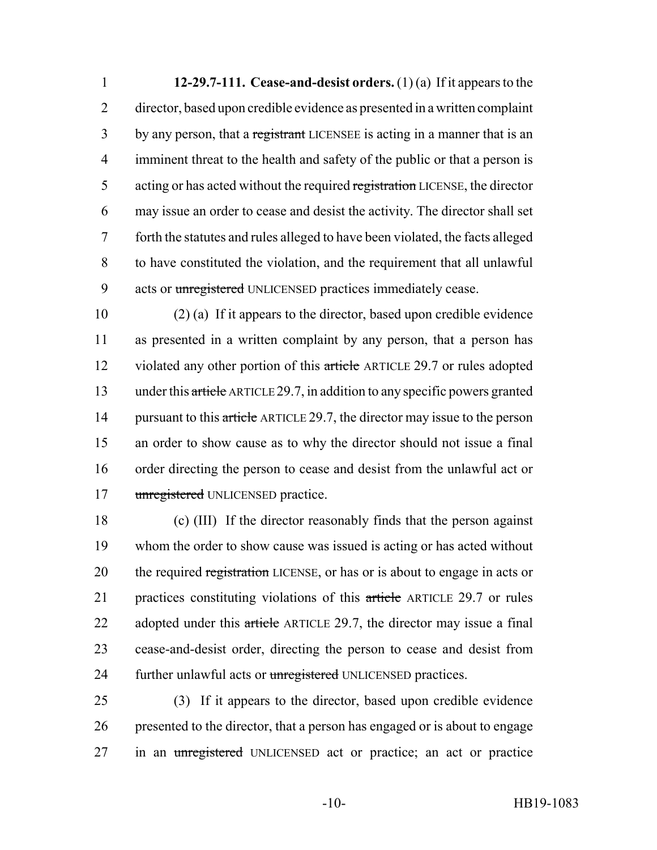**12-29.7-111. Cease-and-desist orders.** (1) (a) If it appears to the director, based upon credible evidence as presented in a written complaint 3 by any person, that a registrant LICENSEE is acting in a manner that is an imminent threat to the health and safety of the public or that a person is 5 acting or has acted without the required registration LICENSE, the director may issue an order to cease and desist the activity. The director shall set forth the statutes and rules alleged to have been violated, the facts alleged to have constituted the violation, and the requirement that all unlawful 9 acts or unregistered UNLICENSED practices immediately cease.

 (2) (a) If it appears to the director, based upon credible evidence as presented in a written complaint by any person, that a person has 12 violated any other portion of this article ARTICLE 29.7 or rules adopted under this article ARTICLE 29.7, in addition to any specific powers granted 14 pursuant to this article ARTICLE 29.7, the director may issue to the person an order to show cause as to why the director should not issue a final order directing the person to cease and desist from the unlawful act or 17 unregistered UNLICENSED practice.

 (c) (III) If the director reasonably finds that the person against whom the order to show cause was issued is acting or has acted without 20 the required registration LICENSE, or has or is about to engage in acts or practices constituting violations of this article ARTICLE 29.7 or rules 22 adopted under this article ARTICLE 29.7, the director may issue a final cease-and-desist order, directing the person to cease and desist from 24 further unlawful acts or unregistered UNLICENSED practices.

 (3) If it appears to the director, based upon credible evidence presented to the director, that a person has engaged or is about to engage 27 in an unregistered UNLICENSED act or practice; an act or practice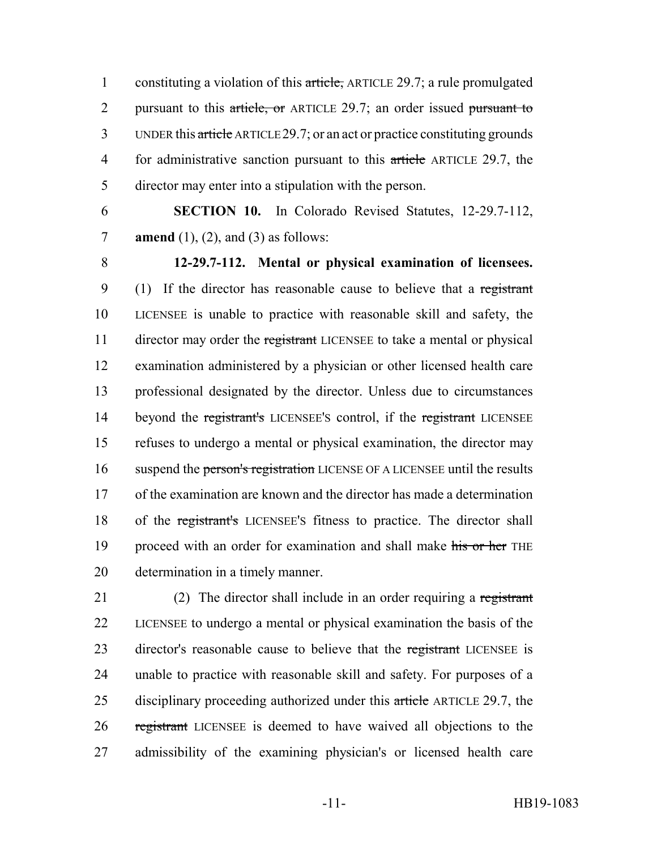1 constituting a violation of this article, ARTICLE 29.7; a rule promulgated 2 pursuant to this article, or ARTICLE 29.7; an order issued pursuant to 3 UNDER this article ARTICLE 29.7; or an act or practice constituting grounds 4 for administrative sanction pursuant to this article ARTICLE 29.7, the 5 director may enter into a stipulation with the person.

6 **SECTION 10.** In Colorado Revised Statutes, 12-29.7-112, 7 **amend** (1), (2), and (3) as follows:

 **12-29.7-112. Mental or physical examination of licensees.** 9 (1) If the director has reasonable cause to believe that a registrant LICENSEE is unable to practice with reasonable skill and safety, the 11 director may order the registrant LICENSEE to take a mental or physical examination administered by a physician or other licensed health care professional designated by the director. Unless due to circumstances 14 beyond the registrant's LICENSEE's control, if the registrant LICENSEE refuses to undergo a mental or physical examination, the director may 16 suspend the person's registration LICENSE OF A LICENSEE until the results of the examination are known and the director has made a determination of the registrant's LICENSEE'S fitness to practice. The director shall 19 proceed with an order for examination and shall make his or her THE determination in a timely manner.

21 (2) The director shall include in an order requiring a registrant 22 LICENSEE to undergo a mental or physical examination the basis of the 23 director's reasonable cause to believe that the registrant LICENSEE is 24 unable to practice with reasonable skill and safety. For purposes of a 25 disciplinary proceeding authorized under this article ARTICLE 29.7, the 26 registrant LICENSEE is deemed to have waived all objections to the 27 admissibility of the examining physician's or licensed health care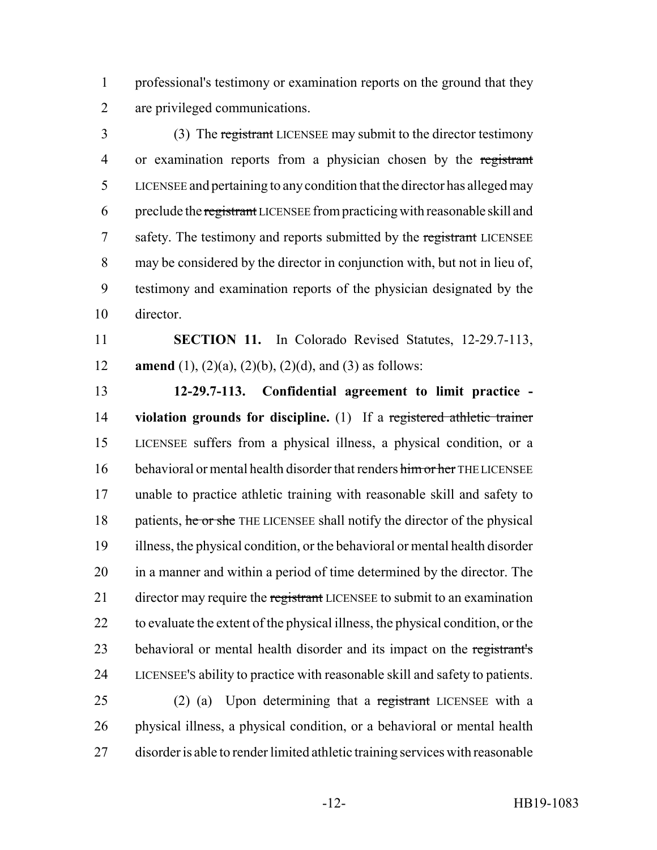professional's testimony or examination reports on the ground that they are privileged communications.

 (3) The registrant LICENSEE may submit to the director testimony or examination reports from a physician chosen by the registrant LICENSEE and pertaining to any condition that the director has alleged may preclude the registrant LICENSEE from practicing with reasonable skill and 7 safety. The testimony and reports submitted by the registrant LICENSEE may be considered by the director in conjunction with, but not in lieu of, testimony and examination reports of the physician designated by the director.

 **SECTION 11.** In Colorado Revised Statutes, 12-29.7-113, **amend** (1), (2)(a), (2)(b), (2)(d), and (3) as follows:

 **12-29.7-113. Confidential agreement to limit practice - violation grounds for discipline.** (1) If a registered athletic trainer LICENSEE suffers from a physical illness, a physical condition, or a 16 behavioral or mental health disorder that renders him or her THE LICENSEE unable to practice athletic training with reasonable skill and safety to 18 patients, he or she THE LICENSEE shall notify the director of the physical illness, the physical condition, or the behavioral or mental health disorder in a manner and within a period of time determined by the director. The 21 director may require the registrant LICENSEE to submit to an examination to evaluate the extent of the physical illness, the physical condition, or the 23 behavioral or mental health disorder and its impact on the registrant's LICENSEE'S ability to practice with reasonable skill and safety to patients.

 (2) (a) Upon determining that a registrant LICENSEE with a physical illness, a physical condition, or a behavioral or mental health disorder is able to render limited athletic training services with reasonable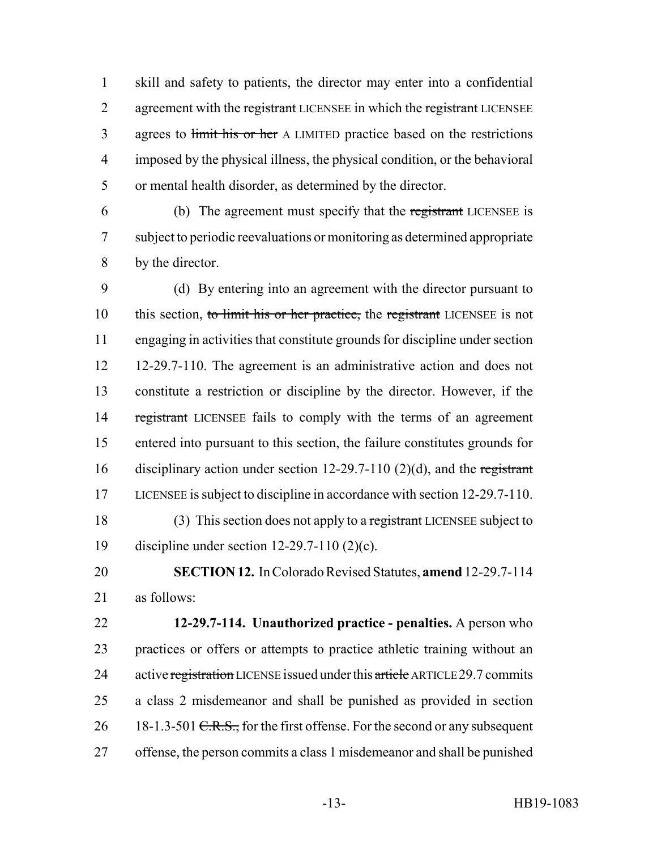skill and safety to patients, the director may enter into a confidential 2 agreement with the registrant LICENSEE in which the registrant LICENSEE 3 agrees to limit his or her A LIMITED practice based on the restrictions imposed by the physical illness, the physical condition, or the behavioral or mental health disorder, as determined by the director.

 (b) The agreement must specify that the registrant LICENSEE is subject to periodic reevaluations or monitoring as determined appropriate by the director.

 (d) By entering into an agreement with the director pursuant to 10 this section, to limit his or her practice, the registrant LICENSEE is not engaging in activities that constitute grounds for discipline under section 12-29.7-110. The agreement is an administrative action and does not constitute a restriction or discipline by the director. However, if the 14 registrant LICENSEE fails to comply with the terms of an agreement entered into pursuant to this section, the failure constitutes grounds for disciplinary action under section 12-29.7-110 (2)(d), and the registrant LICENSEE is subject to discipline in accordance with section 12-29.7-110. 18 (3) This section does not apply to a registrant LICENSEE subject to discipline under section 12-29.7-110 (2)(c).

 **SECTION 12.** In Colorado Revised Statutes, **amend** 12-29.7-114 as follows:

 **12-29.7-114. Unauthorized practice - penalties.** A person who practices or offers or attempts to practice athletic training without an 24 active registration LICENSE issued under this article ARTICLE 29.7 commits a class 2 misdemeanor and shall be punished as provided in section 26 18-1.3-501 <del>C.R.S.,</del> for the first offense. For the second or any subsequent offense, the person commits a class 1 misdemeanor and shall be punished